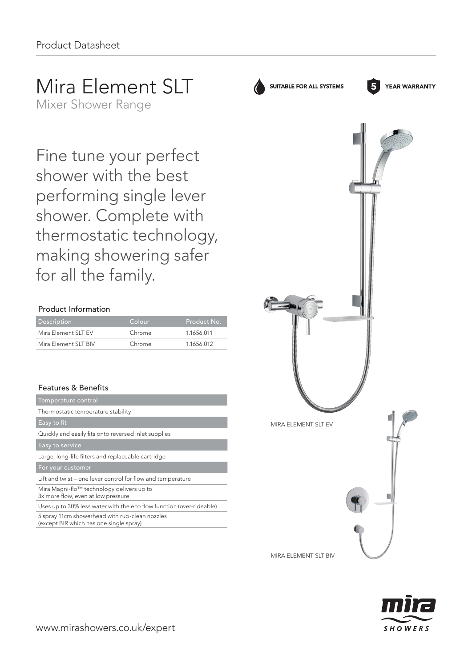# Mira Element SLT

Mixer Shower Range

Fine tune your perfect shower with the best performing single lever shower. Complete with thermostatic technology, making showering safer for all the family.

### Product Information

| <b>Description</b>   | Colour | Product No. |
|----------------------|--------|-------------|
| Mira Element SLT EV  | Chrome | 1.1656.011  |
| Mira Element SLT BIV | Chrome | 1.1656.012  |

## Features & Benefits

| Temperature control                                                             |
|---------------------------------------------------------------------------------|
| Thermostatic temperature stability                                              |
| Easy to fit                                                                     |
| Quickly and easily fits onto reversed inlet supplies                            |
| Easy to service                                                                 |
| Large, long-life filters and replaceable cartridge                              |
| For your customer                                                               |
| Lift and twist – one lever control for flow and temperature                     |
| Mira Magni-flo™ technology delivers up to<br>3x more flow, even at low pressure |
| Uses up to 30% less water with the eco flow function (over-rideable)            |
|                                                                                 |

5 spray 11cm showerhead with rub-clean nozzles (except BIR which has one single spray)